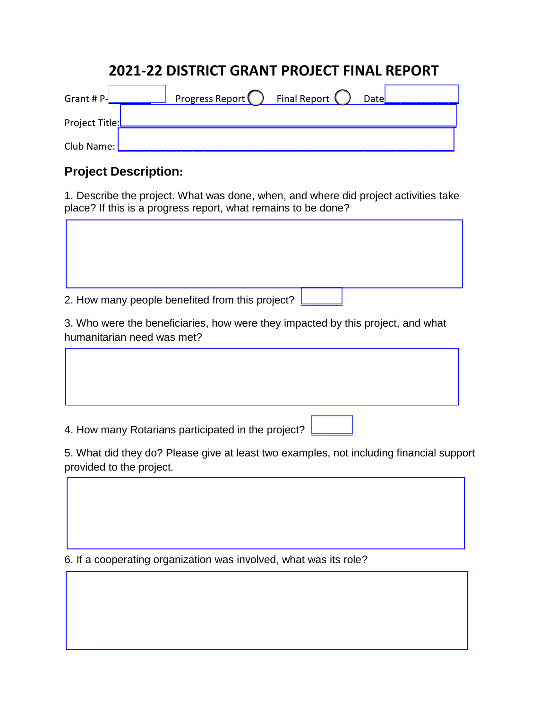# **2021-22 DISTRICT GRANT PROJECT FINAL REPORT**

| Grant # $P$ -  | Final Report (<br>Progress Report (<br>Date |  |
|----------------|---------------------------------------------|--|
| Project Title: |                                             |  |
| Club Name:     |                                             |  |

### **Project Description:**

1. Describe the project. What was done, when, and where did project activities take place? If this is a progress report, what remains to be done?

2. How many people benefited from this project?

3. Who were the beneficiaries, how were they impacted by this project, and what humanitarian need was met?

4. How many Rotarians participated in the project?

5. What did they do? Please give at least two examples, not including financial support provided to the project.

6. If a cooperating organization was involved, what was its role?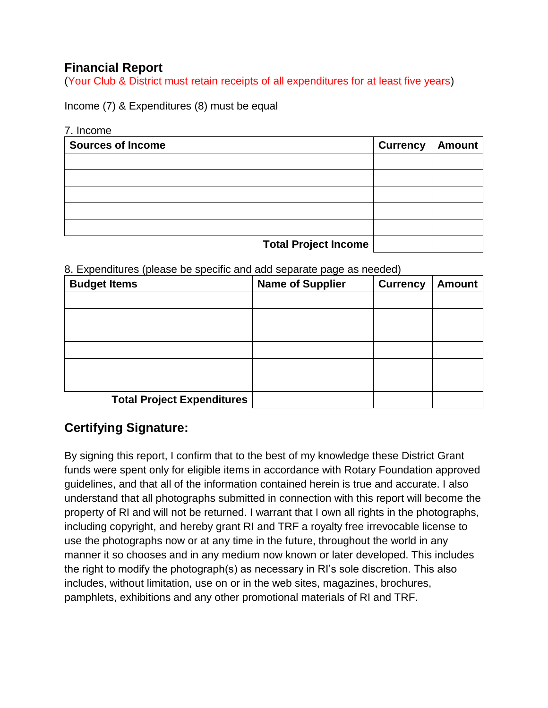## **Financial Report**

(Your Club & District must retain receipts of all expenditures for at least five years)

Income (7) & Expenditures (8) must be equal

#### 7. Income

| <b>Sources of Income</b>    | <b>Currency</b> | Amount |
|-----------------------------|-----------------|--------|
|                             |                 |        |
|                             |                 |        |
|                             |                 |        |
|                             |                 |        |
|                             |                 |        |
| <b>Total Project Income</b> |                 |        |

8. Expenditures (please be specific and add separate page as needed)

| <b>Budget Items</b>               | <b>Name of Supplier</b> | <b>Currency</b> | <b>Amount</b> |
|-----------------------------------|-------------------------|-----------------|---------------|
|                                   |                         |                 |               |
|                                   |                         |                 |               |
|                                   |                         |                 |               |
|                                   |                         |                 |               |
|                                   |                         |                 |               |
|                                   |                         |                 |               |
| <b>Total Project Expenditures</b> |                         |                 |               |

## **Certifying Signature:**

By signing this report, I confirm that to the best of my knowledge these District Grant funds were spent only for eligible items in accordance with Rotary Foundation approved guidelines, and that all of the information contained herein is true and accurate. I also understand that all photographs submitted in connection with this report will become the property of RI and will not be returned. I warrant that I own all rights in the photographs, including copyright, and hereby grant RI and TRF a royalty free irrevocable license to use the photographs now or at any time in the future, throughout the world in any manner it so chooses and in any medium now known or later developed. This includes the right to modify the photograph(s) as necessary in RI's sole discretion. This also includes, without limitation, use on or in the web sites, magazines, brochures, pamphlets, exhibitions and any other promotional materials of RI and TRF.